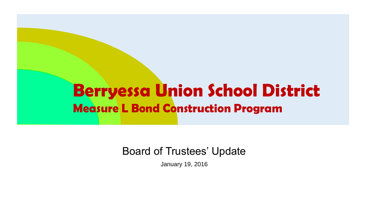#### Berryessa Union School District Measure L Bond Construction Program

#### Board of Trustees' Update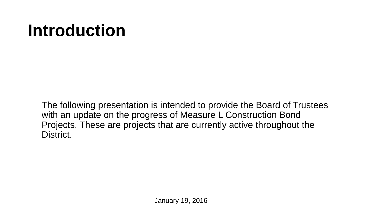## **Introduction**

The following presentation is intended to provide the Board of Trustees with an update on the progress of Measure L Construction Bond Projects. These are projects that are currently active throughout the District.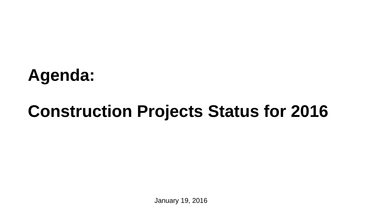# **Agenda:**

## **Construction Projects Status for 2016**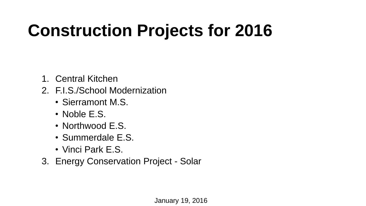# **Construction Projects for 2016**

- 1. Central Kitchen
- 2. F.I.S./School Modernization
	- Sierramont M.S.
	- Noble E.S.
	- Northwood E.S.
	- Summerdale E.S.
	- Vinci Park E.S.
- 3. Energy Conservation Project Solar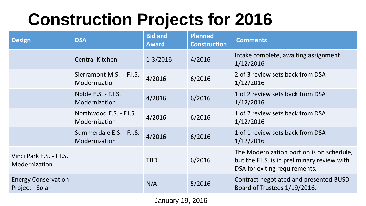## **Construction Projects for 2016**

| <b>Design</b>                                 | <b>DSA</b>                                | <b>Bid and</b><br><b>Award</b> | <b>Planned</b><br><b>Construction</b> | <b>Comments</b>                                                                                                            |
|-----------------------------------------------|-------------------------------------------|--------------------------------|---------------------------------------|----------------------------------------------------------------------------------------------------------------------------|
|                                               | <b>Central Kitchen</b>                    | $1 - 3/2016$                   | 4/2016                                | Intake complete, awaiting assignment<br>1/12/2016                                                                          |
|                                               | Sierramont M.S. - F.I.S.<br>Modernization | 4/2016                         | 6/2016                                | 2 of 3 review sets back from DSA<br>1/12/2016                                                                              |
|                                               | Noble E.S. - F.I.S.<br>Modernization      | 4/2016                         | 6/2016                                | 1 of 2 review sets back from DSA<br>1/12/2016                                                                              |
|                                               | Northwood E.S. - F.I.S.<br>Modernization  | 4/2016                         | 6/2016                                | 1 of 2 review sets back from DSA<br>1/12/2016                                                                              |
|                                               | Summerdale E.S. - F.I.S.<br>Modernization | 4/2016                         | 6/2016                                | 1 of 1 review sets back from DSA<br>1/12/2016                                                                              |
| Vinci Park E.S. - F.I.S.<br>Modernization     |                                           | <b>TBD</b>                     | 6/2016                                | The Modernization portion is on schedule,<br>but the F.I.S. is in preliminary review with<br>DSA for exiting requirements. |
| <b>Energy Conservation</b><br>Project - Solar |                                           | N/A                            | 5/2016                                | Contract negotiated and presented BUSD<br>Board of Trustees 1/19/2016.                                                     |